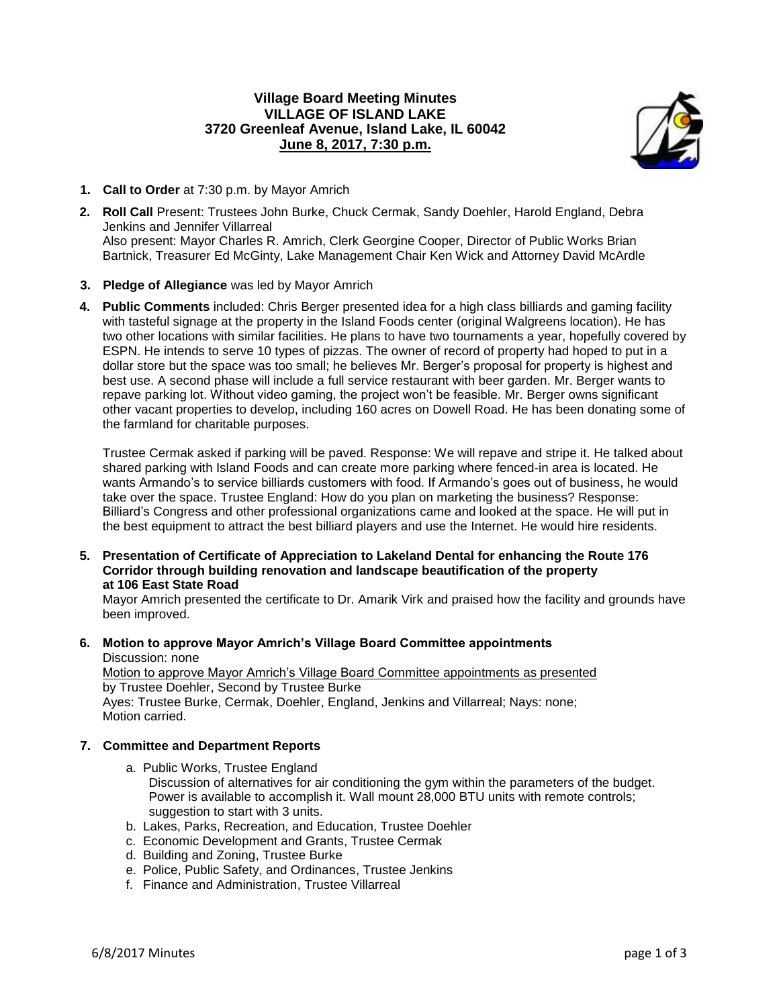# **Village Board Meeting Minutes VILLAGE OF ISLAND LAKE 3720 Greenleaf Avenue, Island Lake, IL 60042 June 8, 2017, 7:30 p.m.**



- **1. Call to Order** at 7:30 p.m. by Mayor Amrich
- **2. Roll Call** Present: Trustees John Burke, Chuck Cermak, Sandy Doehler, Harold England, Debra Jenkins and Jennifer Villarreal Also present: Mayor Charles R. Amrich, Clerk Georgine Cooper, Director of Public Works Brian Bartnick, Treasurer Ed McGinty, Lake Management Chair Ken Wick and Attorney David McArdle
- **3. Pledge of Allegiance** was led by Mayor Amrich
- **4. Public Comments** included: Chris Berger presented idea for a high class billiards and gaming facility with tasteful signage at the property in the Island Foods center (original Walgreens location). He has two other locations with similar facilities. He plans to have two tournaments a year, hopefully covered by ESPN. He intends to serve 10 types of pizzas. The owner of record of property had hoped to put in a dollar store but the space was too small; he believes Mr. Berger's proposal for property is highest and best use. A second phase will include a full service restaurant with beer garden. Mr. Berger wants to repave parking lot. Without video gaming, the project won't be feasible. Mr. Berger owns significant other vacant properties to develop, including 160 acres on Dowell Road. He has been donating some of the farmland for charitable purposes.

Trustee Cermak asked if parking will be paved. Response: We will repave and stripe it. He talked about shared parking with Island Foods and can create more parking where fenced-in area is located. He wants Armando's to service billiards customers with food. If Armando's goes out of business, he would take over the space. Trustee England: How do you plan on marketing the business? Response: Billiard's Congress and other professional organizations came and looked at the space. He will put in the best equipment to attract the best billiard players and use the Internet. He would hire residents.

**5. Presentation of Certificate of Appreciation to Lakeland Dental for enhancing the Route 176 Corridor through building renovation and landscape beautification of the property at 106 East State Road**

Mayor Amrich presented the certificate to Dr. Amarik Virk and praised how the facility and grounds have been improved.

**6. Motion to approve Mayor Amrich's Village Board Committee appointments**

Discussion: none Motion to approve Mayor Amrich's Village Board Committee appointments as presented by Trustee Doehler, Second by Trustee Burke Ayes: Trustee Burke, Cermak, Doehler, England, Jenkins and Villarreal; Nays: none; Motion carried.

#### **7. Committee and Department Reports**

- a. Public Works, Trustee England Discussion of alternatives for air conditioning the gym within the parameters of the budget. Power is available to accomplish it. Wall mount 28,000 BTU units with remote controls; suggestion to start with 3 units.
- b. Lakes, Parks, Recreation, and Education, Trustee Doehler
- c. Economic Development and Grants, Trustee Cermak
- d. Building and Zoning, Trustee Burke
- e. Police, Public Safety, and Ordinances, Trustee Jenkins
- f. Finance and Administration, Trustee Villarreal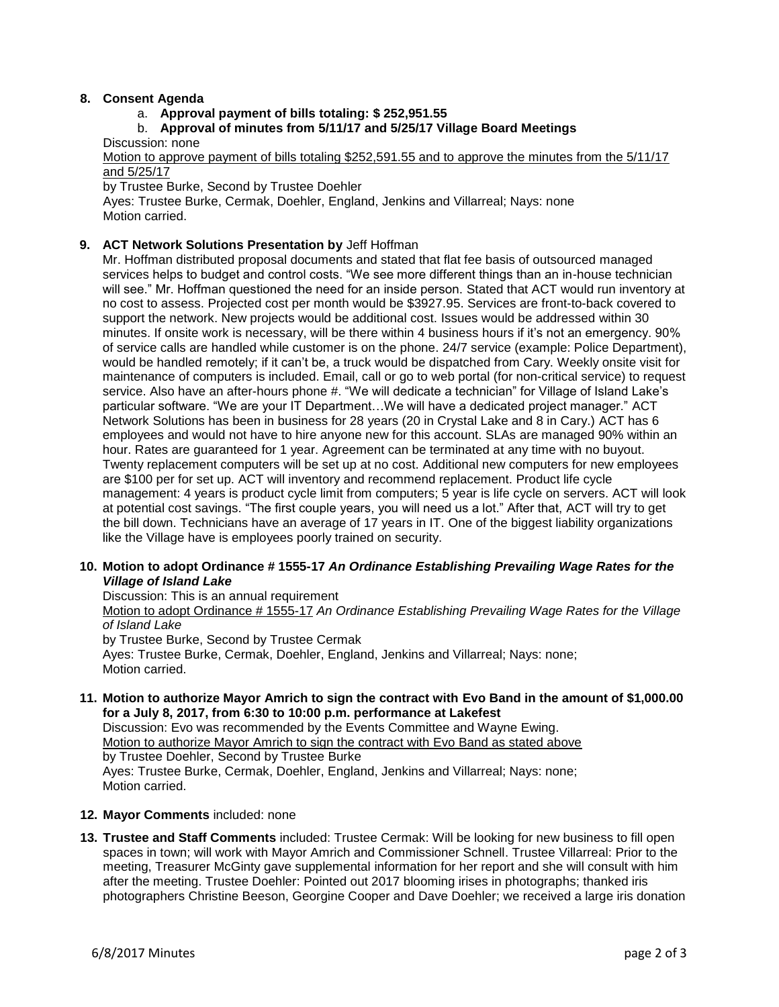### **8. Consent Agenda**

#### a. **Approval payment of bills totaling: \$ 252,951.55**

# b. **Approval of minutes from 5/11/17 and 5/25/17 Village Board Meetings**

Discussion: none

Motion to approve payment of bills totaling \$252,591.55 and to approve the minutes from the 5/11/17 and 5/25/17

by Trustee Burke, Second by Trustee Doehler

Ayes: Trustee Burke, Cermak, Doehler, England, Jenkins and Villarreal; Nays: none Motion carried.

#### **9. ACT Network Solutions Presentation by** Jeff Hoffman

Mr. Hoffman distributed proposal documents and stated that flat fee basis of outsourced managed services helps to budget and control costs. "We see more different things than an in-house technician will see." Mr. Hoffman questioned the need for an inside person. Stated that ACT would run inventory at no cost to assess. Projected cost per month would be \$3927.95. Services are front-to-back covered to support the network. New projects would be additional cost. Issues would be addressed within 30 minutes. If onsite work is necessary, will be there within 4 business hours if it's not an emergency. 90% of service calls are handled while customer is on the phone. 24/7 service (example: Police Department), would be handled remotely; if it can't be, a truck would be dispatched from Cary. Weekly onsite visit for maintenance of computers is included. Email, call or go to web portal (for non-critical service) to request service. Also have an after-hours phone #. "We will dedicate a technician" for Village of Island Lake's particular software. "We are your IT Department…We will have a dedicated project manager." ACT Network Solutions has been in business for 28 years (20 in Crystal Lake and 8 in Cary.) ACT has 6 employees and would not have to hire anyone new for this account. SLAs are managed 90% within an hour. Rates are guaranteed for 1 year. Agreement can be terminated at any time with no buyout. Twenty replacement computers will be set up at no cost. Additional new computers for new employees are \$100 per for set up. ACT will inventory and recommend replacement. Product life cycle management: 4 years is product cycle limit from computers; 5 year is life cycle on servers. ACT will look at potential cost savings. "The first couple years, you will need us a lot." After that, ACT will try to get the bill down. Technicians have an average of 17 years in IT. One of the biggest liability organizations like the Village have is employees poorly trained on security.

#### **10. Motion to adopt Ordinance # 1555-17** *An Ordinance Establishing Prevailing Wage Rates for the Village of Island Lake*

Discussion: This is an annual requirement Motion to adopt Ordinance # 1555-17 *An Ordinance Establishing Prevailing Wage Rates for the Village of Island Lake* by Trustee Burke, Second by Trustee Cermak Ayes: Trustee Burke, Cermak, Doehler, England, Jenkins and Villarreal; Nays: none; Motion carried.

**11. Motion to authorize Mayor Amrich to sign the contract with Evo Band in the amount of \$1,000.00 for a July 8, 2017, from 6:30 to 10:00 p.m. performance at Lakefest**

Discussion: Evo was recommended by the Events Committee and Wayne Ewing. Motion to authorize Mayor Amrich to sign the contract with Evo Band as stated above by Trustee Doehler, Second by Trustee Burke Ayes: Trustee Burke, Cermak, Doehler, England, Jenkins and Villarreal; Nays: none; Motion carried.

#### **12. Mayor Comments** included: none

**13. Trustee and Staff Comments** included: Trustee Cermak: Will be looking for new business to fill open spaces in town; will work with Mayor Amrich and Commissioner Schnell. Trustee Villarreal: Prior to the meeting, Treasurer McGinty gave supplemental information for her report and she will consult with him after the meeting. Trustee Doehler: Pointed out 2017 blooming irises in photographs; thanked iris photographers Christine Beeson, Georgine Cooper and Dave Doehler; we received a large iris donation